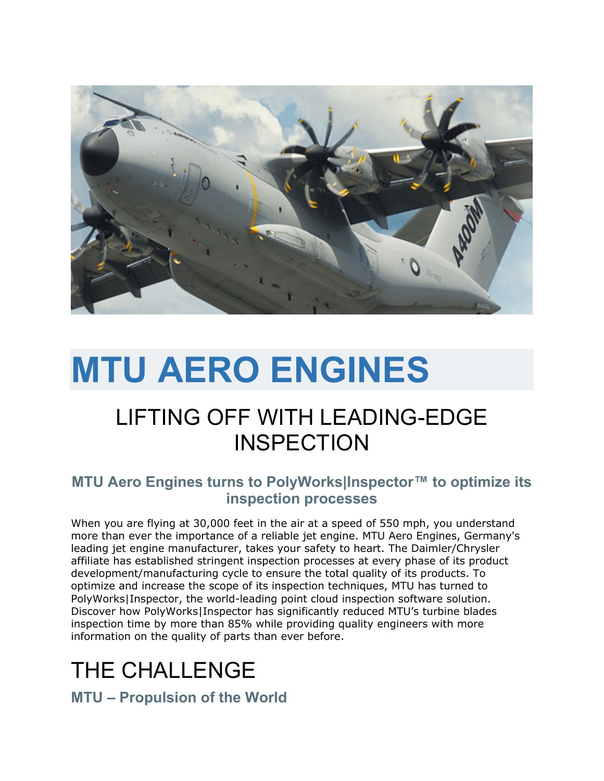

# **MTU AERO ENGINES**

### LIFTING OFF WITH LEADING-EDGE **INSPECTION**

#### **MTU Aero Engines turns to PolyWorks|Inspector™ to optimize its inspection processes**

When you are flying at 30,000 feet in the air at a speed of 550 mph, you understand more than ever the importance of a reliable jet engine. MTU Aero Engines, Germany's leading jet engine manufacturer, takes your safety to heart. The Daimler/Chrysler affiliate has established stringent inspection processes at every phase of its product development/manufacturing cycle to ensure the total quality of its products. To optimize and increase the scope of its inspection techniques, MTU has turned to PolyWorks|Inspector, the world-leading point cloud inspection software solution. Discover how PolyWorks|Inspector has significantly reduced MTU's turbine blades inspection time by more than 85% while providing quality engineers with more information on the quality of parts than ever before.

### THE CHALLENGE

**MTU – Propulsion of the World**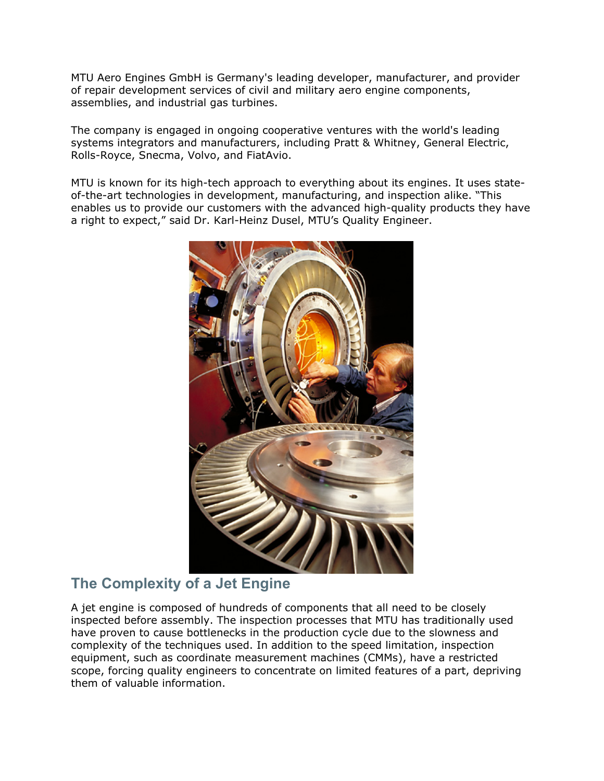MTU Aero Engines GmbH is Germany's leading developer, manufacturer, and provider of repair development services of civil and military aero engine components, assemblies, and industrial gas turbines.

The company is engaged in ongoing cooperative ventures with the world's leading systems integrators and manufacturers, including Pratt & Whitney, General Electric, Rolls-Royce, Snecma, Volvo, and FiatAvio.

MTU is known for its high-tech approach to everything about its engines. It uses stateof-the-art technologies in development, manufacturing, and inspection alike. "This enables us to provide our customers with the advanced high-quality products they have a right to expect," said Dr. Karl-Heinz Dusel, MTU's Quality Engineer.



#### **The Complexity of a Jet Engine**

A jet engine is composed of hundreds of components that all need to be closely inspected before assembly. The inspection processes that MTU has traditionally used have proven to cause bottlenecks in the production cycle due to the slowness and complexity of the techniques used. In addition to the speed limitation, inspection equipment, such as coordinate measurement machines (CMMs), have a restricted scope, forcing quality engineers to concentrate on limited features of a part, depriving them of valuable information.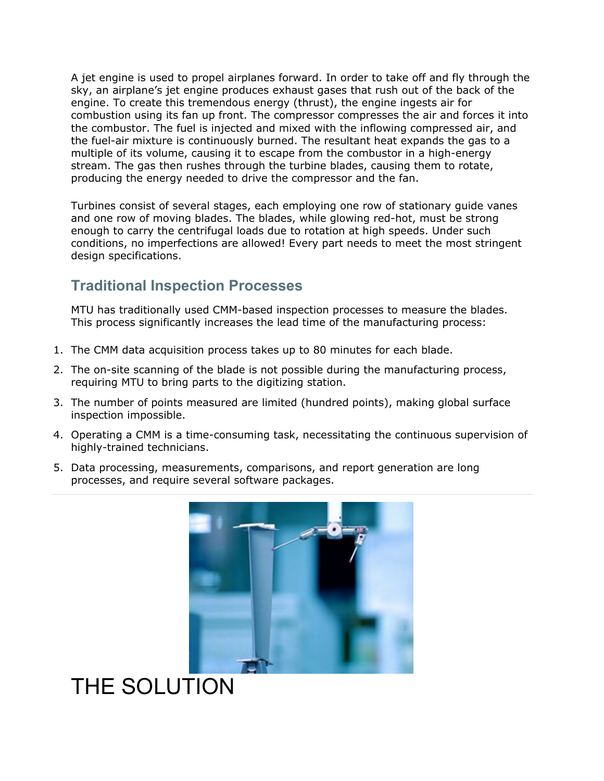A jet engine is used to propel airplanes forward. In order to take off and fly through the sky, an airplane's jet engine produces exhaust gases that rush out of the back of the engine. To create this tremendous energy (thrust), the engine ingests air for combustion using its fan up front. The compressor compresses the air and forces it into the combustor. The fuel is injected and mixed with the inflowing compressed air, and the fuel-air mixture is continuously burned. The resultant heat expands the gas to a multiple of its volume, causing it to escape from the combustor in a high-energy stream. The gas then rushes through the turbine blades, causing them to rotate, producing the energy needed to drive the compressor and the fan.

Turbines consist of several stages, each employing one row of stationary guide vanes and one row of moving blades. The blades, while glowing red-hot, must be strong enough to carry the centrifugal loads due to rotation at high speeds. Under such conditions, no imperfections are allowed! Every part needs to meet the most stringent design specifications.

#### **Traditional Inspection Processes**

MTU has traditionally used CMM-based inspection processes to measure the blades. This process significantly increases the lead time of the manufacturing process:

- 1. The CMM data acquisition process takes up to 80 minutes for each blade.
- 2. The on-site scanning of the blade is not possible during the manufacturing process, requiring MTU to bring parts to the digitizing station.
- 3. The number of points measured are limited (hundred points), making global surface inspection impossible.
- 4. Operating a CMM is a time-consuming task, necessitating the continuous supervision of highly-trained technicians.
- 5. Data processing, measurements, comparisons, and report generation are long processes, and require several software packages.



# THE SOLUTION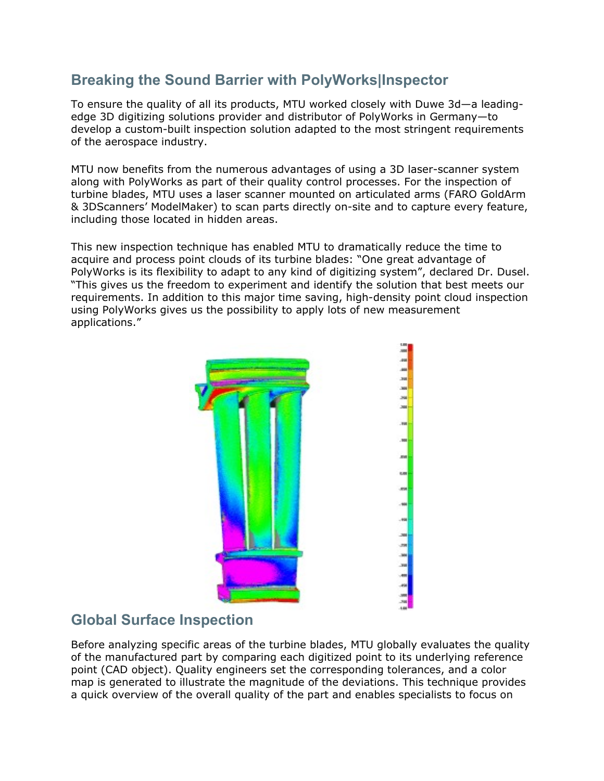#### **Breaking the Sound Barrier with PolyWorks|Inspector**

To ensure the quality of all its products, MTU worked closely with Duwe 3d—a leadingedge 3D digitizing solutions provider and distributor of PolyWorks in Germany—to develop a custom-built inspection solution adapted to the most stringent requirements of the aerospace industry.

MTU now benefits from the numerous advantages of using a 3D laser-scanner system along with PolyWorks as part of their quality control processes. For the inspection of turbine blades, MTU uses a laser scanner mounted on articulated arms (FARO GoldArm & 3DScanners' ModelMaker) to scan parts directly on-site and to capture every feature, including those located in hidden areas.

This new inspection technique has enabled MTU to dramatically reduce the time to acquire and process point clouds of its turbine blades: "One great advantage of PolyWorks is its flexibility to adapt to any kind of digitizing system", declared Dr. Dusel. "This gives us the freedom to experiment and identify the solution that best meets our requirements. In addition to this major time saving, high-density point cloud inspection using PolyWorks gives us the possibility to apply lots of new measurement applications."



#### **Global Surface Inspection**

Before analyzing specific areas of the turbine blades, MTU globally evaluates the quality of the manufactured part by comparing each digitized point to its underlying reference point (CAD object). Quality engineers set the corresponding tolerances, and a color map is generated to illustrate the magnitude of the deviations. This technique provides a quick overview of the overall quality of the part and enables specialists to focus on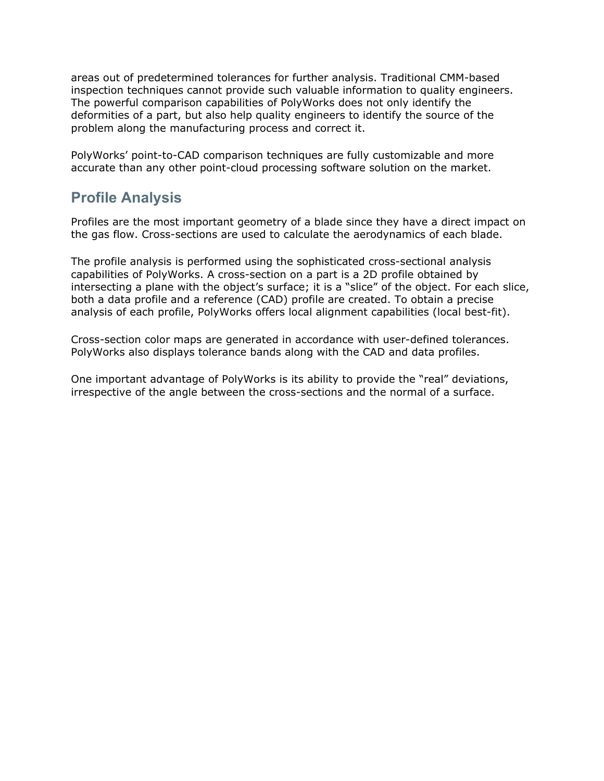areas out of predetermined tolerances for further analysis. Traditional CMM-based inspection techniques cannot provide such valuable information to quality engineers. The powerful comparison capabilities of PolyWorks does not only identify the deformities of a part, but also help quality engineers to identify the source of the problem along the manufacturing process and correct it.

PolyWorks' point-to-CAD comparison techniques are fully customizable and more accurate than any other point-cloud processing software solution on the market.

#### **Profile Analysis**

Profiles are the most important geometry of a blade since they have a direct impact on the gas flow. Cross-sections are used to calculate the aerodynamics of each blade.

The profile analysis is performed using the sophisticated cross-sectional analysis capabilities of PolyWorks. A cross-section on a part is a 2D profile obtained by intersecting a plane with the object's surface; it is a "slice" of the object. For each slice, both a data profile and a reference (CAD) profile are created. To obtain a precise analysis of each profile, PolyWorks offers local alignment capabilities (local best-fit).

Cross-section color maps are generated in accordance with user-defined tolerances. PolyWorks also displays tolerance bands along with the CAD and data profiles.

One important advantage of PolyWorks is its ability to provide the "real" deviations, irrespective of the angle between the cross-sections and the normal of a surface.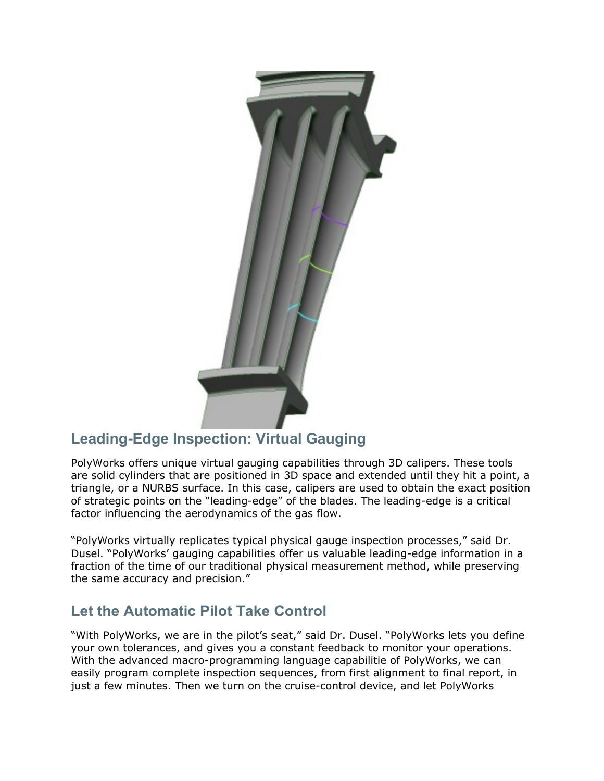

#### **Leading-Edge Inspection: Virtual Gauging**

PolyWorks offers unique virtual gauging capabilities through 3D calipers. These tools are solid cylinders that are positioned in 3D space and extended until they hit a point, a triangle, or a NURBS surface. In this case, calipers are used to obtain the exact position of strategic points on the "leading-edge" of the blades. The leading-edge is a critical factor influencing the aerodynamics of the gas flow.

"PolyWorks virtually replicates typical physical gauge inspection processes," said Dr. Dusel. "PolyWorks' gauging capabilities offer us valuable leading-edge information in a fraction of the time of our traditional physical measurement method, while preserving the same accuracy and precision."

#### **Let the Automatic Pilot Take Control**

"With PolyWorks, we are in the pilot's seat," said Dr. Dusel. "PolyWorks lets you define your own tolerances, and gives you a constant feedback to monitor your operations. With the advanced macro-programming language capabilitie of PolyWorks, we can easily program complete inspection sequences, from first alignment to final report, in just a few minutes. Then we turn on the cruise-control device, and let PolyWorks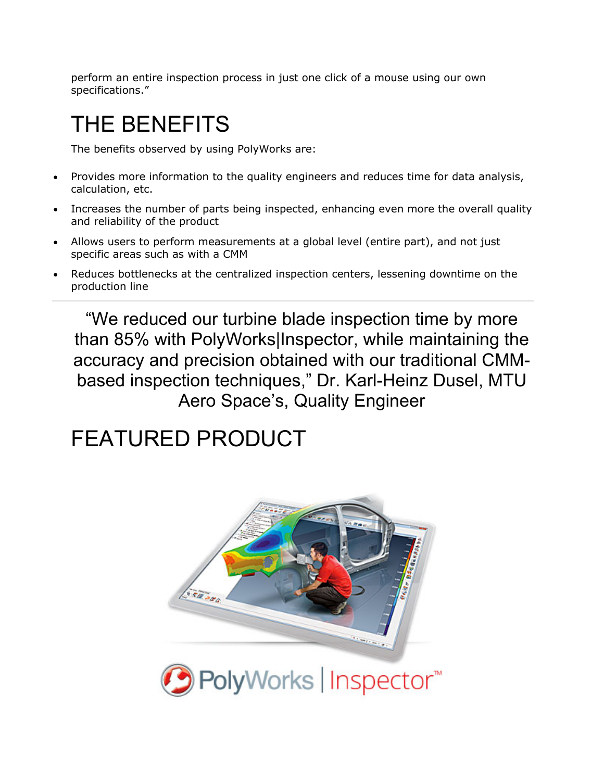perform an entire inspection process in just one click of a mouse using our own specifications."

# THE BENEFITS

The benefits observed by using PolyWorks are:

- Provides more information to the quality engineers and reduces time for data analysis, calculation, etc.
- Increases the number of parts being inspected, enhancing even more the overall quality and reliability of the product
- Allows users to perform measurements at a global level (entire part), and not just specific areas such as with a CMM
- Reduces bottlenecks at the centralized inspection centers, lessening downtime on the production line

"We reduced our turbine blade inspection time by more than 85% with PolyWorks|Inspector, while maintaining the accuracy and precision obtained with our traditional CMMbased inspection techniques," Dr. Karl-Heinz Dusel, MTU Aero Space's, Quality Engineer

## FEATURED PRODUCT



● PolyWorks | Inspector™